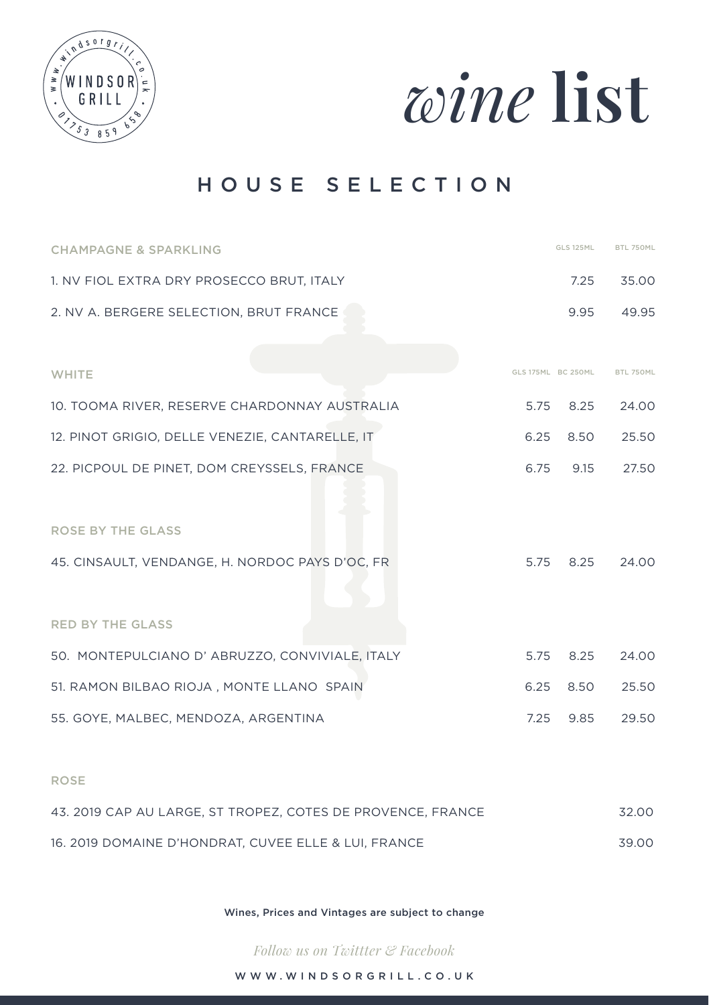



# HOUSE SELECTION

| <b>CHAMPAGNE &amp; SPARKLING</b>                | <b>GLS 125ML</b>   | BTL 750ML |
|-------------------------------------------------|--------------------|-----------|
| 1. NV FIOL EXTRA DRY PROSECCO BRUT, ITALY       | 7.25               | 35.00     |
| 2. NV A. BERGERE SELECTION, BRUT FRANCE         | 9.95               | 49.95     |
|                                                 |                    |           |
| WHITE                                           | GLS 175ML BC 250ML | BTL 750ML |
| 10. TOOMA RIVER, RESERVE CHARDONNAY AUSTRALIA   | 5.75<br>8.25       | 24.00     |
| 12. PINOT GRIGIO, DELLE VENEZIE, CANTARELLE, IT | 6.25 8.50          | 25.50     |
| 22. PICPOUL DE PINET, DOM CREYSSELS, FRANCE     | 6.75<br>9.15       | 27.50     |
|                                                 |                    |           |
| <b>ROSE BY THE GLASS</b>                        |                    |           |
| 45. CINSAULT, VENDANGE, H. NORDOC PAYS D'OC, FR | 5.75<br>8.25       | 24.00     |
|                                                 |                    |           |
| <b>RED BY THE GLASS</b>                         |                    |           |
| 50. MONTEPULCIANO D' ABRUZZO, CONVIVIALE, ITALY | 5.75<br>8.25       | 24.00     |
| 51. RAMON BILBAO RIOJA, MONTE LLANO SPAIN       | 6.25<br>8.50       | 25.50     |
| 55. GOYE, MALBEC, MENDOZA, ARGENTINA            | 7.25<br>9.85       | 29.50     |
|                                                 |                    |           |

#### ROSE

| 43. 2019 CAP AU LARGE. ST TROPEZ. COTES DE PROVENCE. FRANCE | 32.00 |
|-------------------------------------------------------------|-------|
| 16, 2019 DOMAINE D'HONDRAT, CUVEE ELLE & LUI, FRANCE        | 39.00 |

Wines, Prices and Vintages are subject to change

*Follow us on Twittter & Facebook* 

WWW.WINDSORGRILL.CO.UK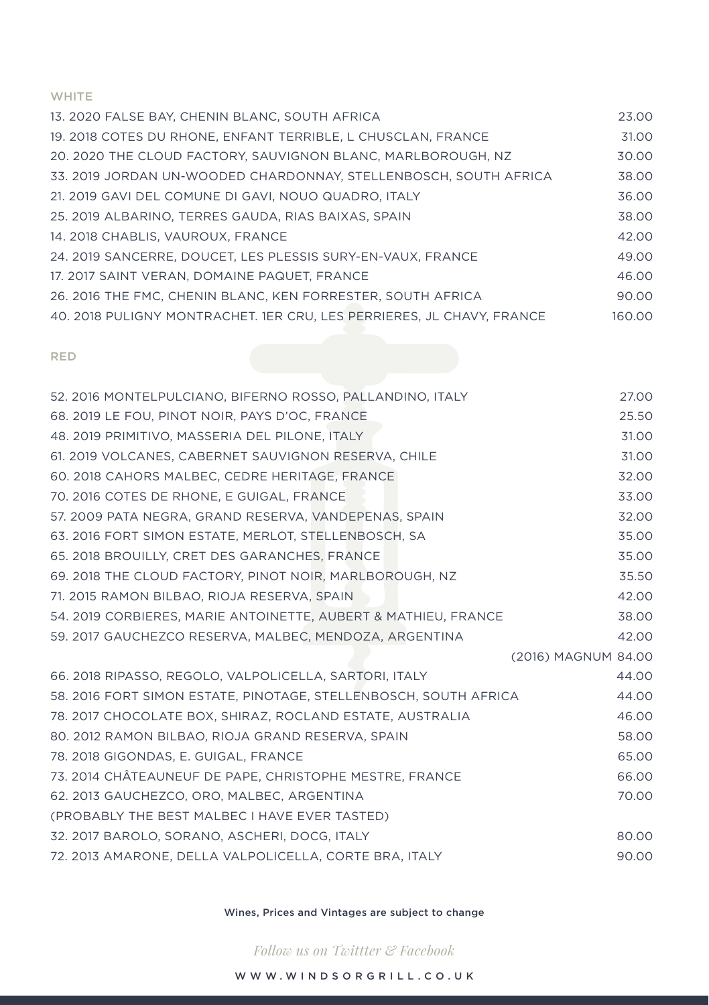#### WHITE

| 13. 2020 FALSE BAY. CHENIN BLANC. SOUTH AFRICA                        | 23.00  |
|-----------------------------------------------------------------------|--------|
| 19, 2018 COTES DU RHONE, ENFANT TERRIBLE, L CHUSCLAN, FRANCE          | 31.00  |
| 20, 2020 THE CLOUD FACTORY, SAUVIGNON BLANC, MARLBOROUGH, NZ          | 30.00  |
| 33, 2019 JORDAN UN-WOODED CHARDONNAY, STELLENBOSCH, SOUTH AFRICA      | 38.00  |
| 21. 2019 GAVI DEL COMUNE DI GAVI, NOUO QUADRO, ITALY                  | 36.00  |
| 25, 2019 ALBARINO, TERRES GAUDA, RIAS BAIXAS, SPAIN                   | 38.00  |
| 14. 2018 CHABLIS, VAUROUX, FRANCE                                     | 42.00  |
| 24. 2019 SANCERRE. DOUCET. LES PLESSIS SURY-EN-VAUX. FRANCE           | 49.00  |
| 17. 2017 SAINT VERAN, DOMAINE PAQUET, FRANCE                          | 46.00  |
| 26, 2016 THE FMC, CHENIN BLANC, KEN FORRESTER, SOUTH AFRICA           | 90.00  |
| 40. 2018 PULIGNY MONTRACHET. 1ER CRU, LES PERRIERES, JL CHAVY. FRANCE | 160.00 |

#### RED

| 52. 2016 MONTELPULCIANO, BIFERNO ROSSO, PALLANDINO, ITALY        | 27.00               |
|------------------------------------------------------------------|---------------------|
| 68. 2019 LE FOU, PINOT NOIR, PAYS D'OC, FRANCE                   | 25.50               |
| 48. 2019 PRIMITIVO, MASSERIA DEL PILONE, ITALY                   | 31.00               |
| 61. 2019 VOLCANES, CABERNET SAUVIGNON RESERVA, CHILE             | 31.00               |
| 60. 2018 CAHORS MALBEC, CEDRE HERITAGE, FRANCE                   | 32.00               |
| 70. 2016 COTES DE RHONE, E GUIGAL, FRANCE                        | 33.00               |
| 57, 2009 PATA NEGRA, GRAND RESERVA, VANDEPENAS, SPAIN            | 32.00               |
| 63. 2016 FORT SIMON ESTATE, MERLOT, STELLENBOSCH, SA             | 35.00               |
| 65. 2018 BROUILLY, CRET DES GARANCHES, FRANCE                    | 35.00               |
| 69, 2018 THE CLOUD FACTORY, PINOT NOIR, MARLBOROUGH, NZ          | 35.50               |
| 71. 2015 RAMON BILBAO, RIOJA RESERVA, SPAIN                      | 42.00               |
| 54. 2019 CORBIERES, MARIE ANTOINETTE, AUBERT & MATHIEU, FRANCE   | 38.00               |
| 59. 2017 GAUCHEZCO RESERVA, MALBEC, MENDOZA, ARGENTINA           | 42.00               |
|                                                                  | (2016) MAGNUM 84.00 |
| 66. 2018 RIPASSO, REGOLO, VALPOLICELLA, SARTORI, ITALY           | 44.00               |
| 58. 2016 FORT SIMON ESTATE, PINOTAGE, STELLENBOSCH, SOUTH AFRICA | 44.00               |
| 78. 2017 CHOCOLATE BOX, SHIRAZ, ROCLAND ESTATE, AUSTRALIA        | 46.00               |
| 80. 2012 RAMON BILBAO, RIOJA GRAND RESERVA, SPAIN                | 58.00               |
| 78. 2018 GIGONDAS, E. GUIGAL, FRANCE                             | 65.00               |
| 73. 2014 CHÂTEAUNEUF DE PAPE, CHRISTOPHE MESTRE, FRANCE          | 66.00               |
| 62. 2013 GAUCHEZCO, ORO, MALBEC, ARGENTINA                       | 70.00               |
| (PROBABLY THE BEST MALBEC I HAVE EVER TASTED)                    |                     |
| 32. 2017 BAROLO, SORANO, ASCHERI, DOCG, ITALY                    | 80.00               |
| 72. 2013 AMARONE, DELLA VALPOLICELLA, CORTE BRA, ITALY           | 90.00               |

Wines, Prices and Vintages are subject to change

*Follow us on Twittter & Facebook*